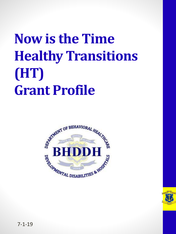## **Now is the Time Healthy Transitions (HT) Grant Profile**



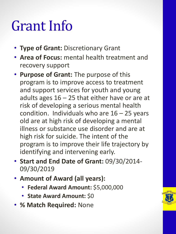### Grant Info

- **Type of Grant:** Discretionary Grant
- **Area of Focus:** mental health treatment and recovery support
- **Purpose of Grant:** The purpose of this program is to improve access to treatment and support services for youth and young adults ages  $16 - 25$  that either have or are at risk of developing a serious mental health condition. Individuals who are  $16 - 25$  years old are at high risk of developing a mental illness or substance use disorder and are at high risk for suicide. The intent of the program is to improve their life trajectory by identifying and intervening early.
- **Start and End Date of Grant:** 09/30/2014- 09/30/2019
- **Amount of Award (all years):**
	- **Federal Award Amount:** \$5,000,000
	- **State Award Amount:** \$0
- **% Match Required:** None

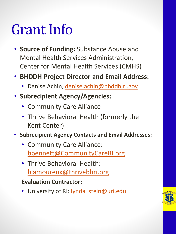#### Grant Info

- **Source of Funding:** Substance Abuse and Mental Health Services Administration, Center for Mental Health Services (CMHS)
- **BHDDH Project Director and Email Address:** 
	- Denise Achin, [denise.achin@bhddh.ri.gov](mailto:denise.achin@bhddh.ri.gov)
- **Subrecipient Agency/Agencies:** 
	- Community Care Alliance
	- Thrive Behavioral Health (formerly the Kent Center)
- **Subrecipient Agency Contacts and Email Addresses:** 
	- Community Care Alliance: [bbennett@CommunityCareRI.org](mailto:bbennett@CommunityCareRI.org)
	- Thrive Behavioral Health: [blamoureux@thrivebhri.org](mailto:blamoureux@thrivebhri.org)
	- **Evaluation Contractor:**
	- University of RI: **lynda** stein@uri.edu

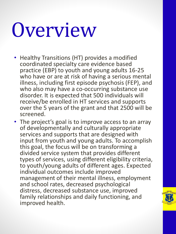# Overview

- Healthy Transitions (HT) provides a modified coordinated specialty care evidence based practice (EBP) to youth and young adults 16-25 who have or are at risk of having a serious mental illness, including first episode psychosis (FEP), and who also may have a co-occurring substance use disorder. It is expected that 500 individuals will receive/be enrolled in HT services and supports over the 5 years of the grant and that 2500 will be screened.
- The project's goal is to improve access to an array of developmentally and culturally appropriate services and supports that are designed with input from youth and young adults. To accomplish this goal, the focus will be on transforming a divided service system that provides different types of services, using different eligibility criteria, to youth/young adults of different ages. Expected individual outcomes include improved management of their mental illness, employment and school rates, decreased psychological distress, decreased substance use, improved family relationships and daily functioning, and improved health.

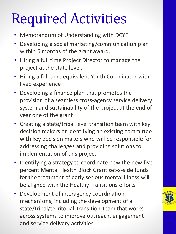## Required Activities

- Memorandum of Understanding with DCYF
- Developing a social marketing/communication plan within 6 months of the grant award.
- Hiring a full time Project Director to manage the project at the state level.
- Hiring a full time equivalent Youth Coordinator with lived experience
- Developing a finance plan that promotes the provision of a seamless cross-agency service delivery system and sustainability of the project at the end of year one of the grant
- Creating a state/tribal level transition team with key decision makers or identifying an existing committee with key decision makers who will be responsible for addressing challenges and providing solutions to implementation of this project
- Identifying a strategy to coordinate how the new five percent Mental Health Block Grant set-a-side funds for the treatment of early serious mental illness will be aligned with the Healthy Transitions efforts
- Development of interagency coordination mechanisms, including the development of a state/tribal/territorial Transition Team that works across systems to improve outreach, engagement and service delivery activities

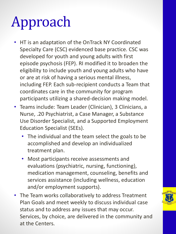## Approach

- HT is an adaptation of the OnTrack NY Coordinated Specialty Care (CSC) evidenced base practice. CSC was developed for youth and young adults with first episode psychosis (FEP). RI modified it to broaden the eligibility to include youth and young adults who have or are at risk of having a serious mental illness, including FEP. Each sub-recipient conducts a Team that coordinates care in the community for program participants utilizing a shared-decision making model.
- Teams include: Team Leader (Clinician), 3 Clinicians, a Nurse, .20 Psychiatrist, a Case Manager, a Substance Use Disorder Specialist, and a Supported Employment Education Specialist (SEEs).
	- The individual and the team select the goals to be accomplished and develop an individualized treatment plan.
	- Most participants receive assessments and evaluations (psychiatric, nursing, functioning), medication management, counseling, benefits and services assistance (including wellness, education and/or employment supports).
- The Team works collaboratively to address Treatment Plan Goals and meet weekly to discuss individual case status and to address any issues that may occur. Services, by choice, are delivered in the community and at the Centers.